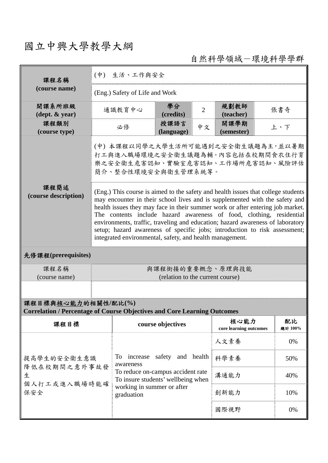## 國立中興大學教學大綱

自然科學領域-環境科學學群

| 課程名稱<br>(course name)                                                                                  | (中) 生活、工作與安全                                                                                                                                                                                                                                                                                                                                                                                                                                                                                                                                           |                                                                                                                                                                   |                          |                                |                    |               |     |  |  |  |
|--------------------------------------------------------------------------------------------------------|--------------------------------------------------------------------------------------------------------------------------------------------------------------------------------------------------------------------------------------------------------------------------------------------------------------------------------------------------------------------------------------------------------------------------------------------------------------------------------------------------------------------------------------------------------|-------------------------------------------------------------------------------------------------------------------------------------------------------------------|--------------------------|--------------------------------|--------------------|---------------|-----|--|--|--|
|                                                                                                        | (Eng.) Safety of Life and Work                                                                                                                                                                                                                                                                                                                                                                                                                                                                                                                         |                                                                                                                                                                   |                          |                                |                    |               |     |  |  |  |
| 開課系所班級<br>$(\text{dept.} \& \text{ year})$                                                             | 通識教育中心                                                                                                                                                                                                                                                                                                                                                                                                                                                                                                                                                 |                                                                                                                                                                   | 學分<br>2<br>(credits)     |                                | 規劃教師<br>(teacher)  |               | 張書奇 |  |  |  |
| 課程類別<br>(course type)                                                                                  | 必修                                                                                                                                                                                                                                                                                                                                                                                                                                                                                                                                                     |                                                                                                                                                                   | 授課語言<br>中文<br>(language) |                                | 開課學期<br>(semester) |               | 上、下 |  |  |  |
|                                                                                                        | (中)本課程以同學之大學生活所可能遇到之安全衛生議題為主,並以暑期<br>打工與進入職場環境之安全衛生議題為輔。內容包括在校期間食衣住行育<br>樂之安全衛生危害認知、實驗室危害認知、工作場所危害認知、風險評估<br>簡介、整合性環境安全與衛生管理系統等。                                                                                                                                                                                                                                                                                                                                                                                                                       |                                                                                                                                                                   |                          |                                |                    |               |     |  |  |  |
| 課程簡述<br>(course description)                                                                           | (Eng.) This course is aimed to the safety and health issues that college students<br>may encounter in their school lives and is supplemented with the safety and<br>health issues they may face in their summer work or after entering job market.<br>The contents include hazard awareness of food, clothing, residential<br>environments, traffic, traveling and education; hazard awareness of laboratory<br>setup; hazard awareness of specific jobs; introduction to risk assessment;<br>integrated environmental, safety, and health management. |                                                                                                                                                                   |                          |                                |                    |               |     |  |  |  |
| 先修課程(prerequisites)                                                                                    |                                                                                                                                                                                                                                                                                                                                                                                                                                                                                                                                                        |                                                                                                                                                                   |                          |                                |                    |               |     |  |  |  |
| 課程名稱<br>(course name)                                                                                  | 與課程銜接的重要概念、原理與技能<br>(relation to the current course)                                                                                                                                                                                                                                                                                                                                                                                                                                                                                                   |                                                                                                                                                                   |                          |                                |                    |               |     |  |  |  |
|                                                                                                        |                                                                                                                                                                                                                                                                                                                                                                                                                                                                                                                                                        |                                                                                                                                                                   |                          |                                |                    |               |     |  |  |  |
| 課程目標與核心能力的相關性/配比(%)<br><b>Correlation / Percentage of Course Objectives and Core Learning Outcomes</b> |                                                                                                                                                                                                                                                                                                                                                                                                                                                                                                                                                        |                                                                                                                                                                   |                          |                                |                    |               |     |  |  |  |
| 課程目標                                                                                                   | course objectives                                                                                                                                                                                                                                                                                                                                                                                                                                                                                                                                      |                                                                                                                                                                   |                          | 核心能力<br>core learning outcomes |                    | 配比<br>總計 100% |     |  |  |  |
|                                                                                                        |                                                                                                                                                                                                                                                                                                                                                                                                                                                                                                                                                        |                                                                                                                                                                   |                          |                                | 人文素養               |               | 0%  |  |  |  |
| 提高學生的安全衛生意識<br>降低在校期間之意外事故發<br>生<br>個人打工或進入職場時能確<br>保安全                                                |                                                                                                                                                                                                                                                                                                                                                                                                                                                                                                                                                        | To increase safety and health<br>awareness<br>To reduce on-campus accident rate<br>To insure students' wellbeing when<br>working in summer or after<br>graduation |                          |                                | 科學素養               |               | 50% |  |  |  |
|                                                                                                        |                                                                                                                                                                                                                                                                                                                                                                                                                                                                                                                                                        |                                                                                                                                                                   |                          |                                | 溝通能力               |               | 40% |  |  |  |
|                                                                                                        |                                                                                                                                                                                                                                                                                                                                                                                                                                                                                                                                                        |                                                                                                                                                                   |                          |                                | 創新能力               |               | 10% |  |  |  |
|                                                                                                        |                                                                                                                                                                                                                                                                                                                                                                                                                                                                                                                                                        |                                                                                                                                                                   |                          |                                | 國際視野               |               | 0%  |  |  |  |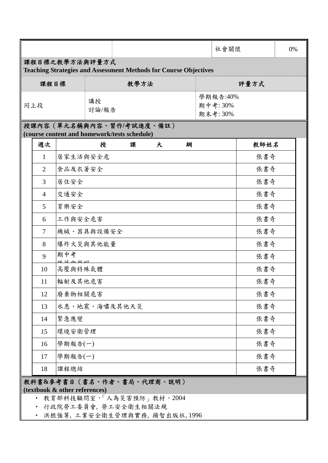|                                                                                           |                |              |               |   |   |                                  |  | 社會關懷 | 0% |  |  |  |
|-------------------------------------------------------------------------------------------|----------------|--------------|---------------|---|---|----------------------------------|--|------|----|--|--|--|
| 課程目標之教學方法與評量方式<br><b>Teaching Strategies and Assessment Methods for Course Objectives</b> |                |              |               |   |   |                                  |  |      |    |  |  |  |
| 課程目標                                                                                      |                |              | 教學方法          |   |   | 評量方式                             |  |      |    |  |  |  |
| 同上段                                                                                       |                |              | 講授<br>討論/報告   |   |   | 學期報告:40%<br>期中考: 30%<br>期末考: 30% |  |      |    |  |  |  |
| 授課內容 (單元名稱與內容、習作/考試進度、備註)<br>(course content and homework/tests schedule)                 |                |              |               |   |   |                                  |  |      |    |  |  |  |
|                                                                                           | 週次             |              | 授             | 課 | 大 | 綱                                |  | 教師姓名 |    |  |  |  |
|                                                                                           | 1              | 居家生活與安全危     |               |   |   |                                  |  | 張書奇  |    |  |  |  |
|                                                                                           | $\overline{2}$ | 食品及衣著安全      |               |   |   |                                  |  | 張書奇  |    |  |  |  |
|                                                                                           | 3              | 居住安全         |               |   |   |                                  |  | 張書奇  |    |  |  |  |
|                                                                                           | $\overline{4}$ | 交通安全         |               |   |   |                                  |  | 張書奇  |    |  |  |  |
|                                                                                           | 5              | 育樂安全         |               |   |   |                                  |  | 張書奇  |    |  |  |  |
|                                                                                           | 6              | 工作與安全危害      |               |   |   |                                  |  | 張書奇  |    |  |  |  |
|                                                                                           | 7              |              | 機械、器具與設備安全    |   |   |                                  |  | 張書奇  |    |  |  |  |
|                                                                                           | 8              |              | 爆炸火災與其他能量     |   |   |                                  |  | 張書奇  |    |  |  |  |
|                                                                                           | 9              | 期中考<br>贬せぬ出旧 |               |   |   |                                  |  | 張書奇  |    |  |  |  |
|                                                                                           | 10             | 高壓與特殊氣體      |               |   |   |                                  |  | 張書奇  |    |  |  |  |
|                                                                                           | 11             | 輻射及其他危害      |               |   |   |                                  |  | 張書奇  |    |  |  |  |
|                                                                                           | 12             | 廢棄物相關危害      |               |   |   |                                  |  | 張書奇  |    |  |  |  |
|                                                                                           | 13             |              | 水患、地震、海嘯及其他天災 |   |   |                                  |  | 張書奇  |    |  |  |  |
|                                                                                           | 14             | 緊急應變         |               |   |   |                                  |  | 張書奇  |    |  |  |  |
|                                                                                           | 15             | 環境安衛管理       |               |   |   |                                  |  | 張書奇  |    |  |  |  |
|                                                                                           | 16             | 學期報告(一)      |               |   |   |                                  |  | 張書奇  |    |  |  |  |
|                                                                                           | 17             | 學期報告(一)      |               |   |   |                                  |  | 張書奇  |    |  |  |  |
|                                                                                           | 18             | 課程總結         |               |   |   |                                  |  | 張書奇  |    |  |  |  |
| 教科書&参考書目(書名、作者、書局、代理商、說明)<br>(textbook & other references)                                |                |              |               |   |   |                                  |  |      |    |  |  |  |

‧ 教育部科技顧問室,「人為災害預防」教材,2004

‧ 行政院勞工委員會, 勞工安全衛生相關法規

‧ 洪根強等, 工業安全衛生管理與實務, 揚智出版社, 1996